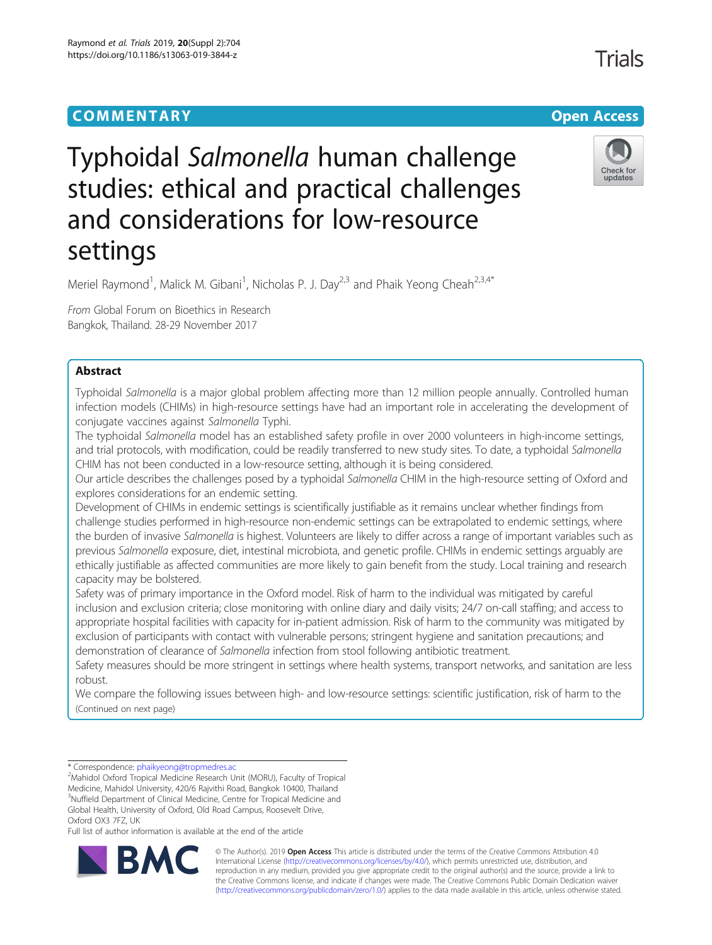# **COMMENTARY COMMENTARY Open Access**

# **Trials**





# Typhoidal Salmonella human challenge studies: ethical and practical challenges and considerations for low-resource settings

Meriel Raymond<sup>1</sup>, Malick M. Gibani<sup>1</sup>, Nicholas P. J. Day<sup>2,3</sup> and Phaik Yeong Cheah<sup>2,3,4\*</sup>

From Global Forum on Bioethics in Research Bangkok, Thailand. 28-29 November 2017

# Abstract

Typhoidal Salmonella is a major global problem affecting more than 12 million people annually. Controlled human infection models (CHIMs) in high-resource settings have had an important role in accelerating the development of conjugate vaccines against Salmonella Typhi.

The typhoidal Salmonella model has an established safety profile in over 2000 volunteers in high-income settings, and trial protocols, with modification, could be readily transferred to new study sites. To date, a typhoidal Salmonella CHIM has not been conducted in a low-resource setting, although it is being considered.

Our article describes the challenges posed by a typhoidal Salmonella CHIM in the high-resource setting of Oxford and explores considerations for an endemic setting.

Development of CHIMs in endemic settings is scientifically justifiable as it remains unclear whether findings from challenge studies performed in high-resource non-endemic settings can be extrapolated to endemic settings, where the burden of invasive Salmonella is highest. Volunteers are likely to differ across a range of important variables such as previous Salmonella exposure, diet, intestinal microbiota, and genetic profile. CHIMs in endemic settings arguably are ethically justifiable as affected communities are more likely to gain benefit from the study. Local training and research capacity may be bolstered.

Safety was of primary importance in the Oxford model. Risk of harm to the individual was mitigated by careful inclusion and exclusion criteria; close monitoring with online diary and daily visits; 24/7 on-call staffing; and access to appropriate hospital facilities with capacity for in-patient admission. Risk of harm to the community was mitigated by exclusion of participants with contact with vulnerable persons; stringent hygiene and sanitation precautions; and demonstration of clearance of Salmonella infection from stool following antibiotic treatment.

Safety measures should be more stringent in settings where health systems, transport networks, and sanitation are less robust.

We compare the following issues between high- and low-resource settings: scientific justification, risk of harm to the (Continued on next page)

<sup>2</sup>Mahidol Oxford Tropical Medicine Research Unit (MORU), Faculty of Tropical Medicine, Mahidol University, 420/6 Rajvithi Road, Bangkok 10400, Thailand <sup>3</sup>Nuffield Department of Clinical Medicine, Centre for Tropical Medicine and Global Health, University of Oxford, Old Road Campus, Roosevelt Drive, Oxford OX3 7FZ, UK

Full list of author information is available at the end of the article



© The Author(s). 2019 **Open Access** This article is distributed under the terms of the Creative Commons Attribution 4.0 International License [\(http://creativecommons.org/licenses/by/4.0/](http://creativecommons.org/licenses/by/4.0/)), which permits unrestricted use, distribution, and reproduction in any medium, provided you give appropriate credit to the original author(s) and the source, provide a link to the Creative Commons license, and indicate if changes were made. The Creative Commons Public Domain Dedication waiver [\(http://creativecommons.org/publicdomain/zero/1.0/](http://creativecommons.org/publicdomain/zero/1.0/)) applies to the data made available in this article, unless otherwise stated.

<sup>\*</sup> Correspondence: [phaikyeong@tropmedres.ac](mailto:phaikyeong@tropmedres.ac) <sup>2</sup>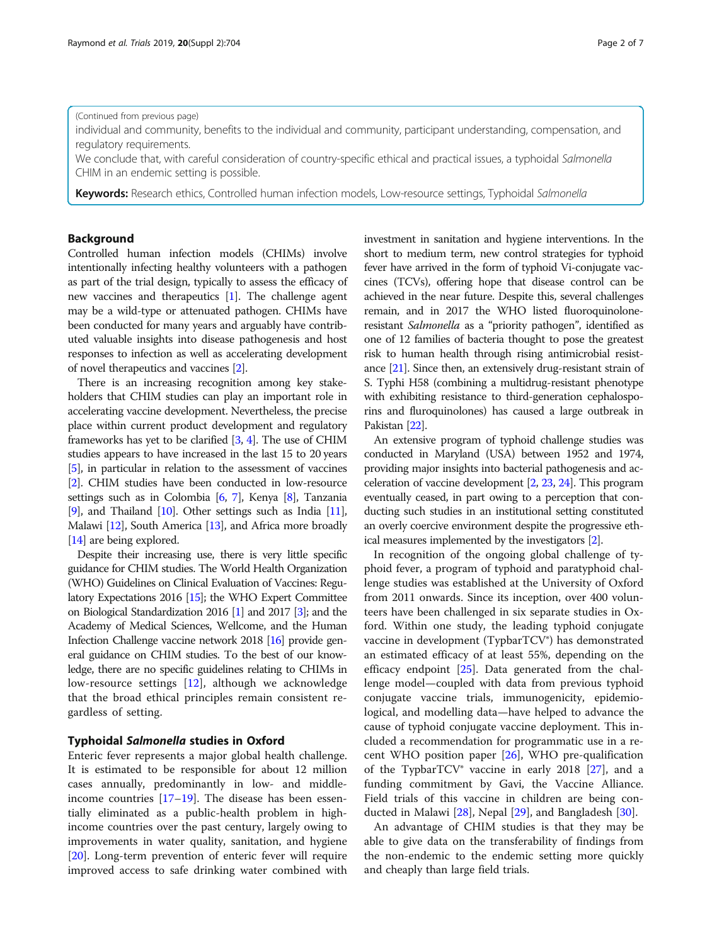#### (Continued from previous page)

individual and community, benefits to the individual and community, participant understanding, compensation, and regulatory requirements.

We conclude that, with careful consideration of country-specific ethical and practical issues, a typhoidal Salmonella CHIM in an endemic setting is possible.

Keywords: Research ethics, Controlled human infection models, Low-resource settings, Typhoidal Salmonella

# Background

Controlled human infection models (CHIMs) involve intentionally infecting healthy volunteers with a pathogen as part of the trial design, typically to assess the efficacy of new vaccines and therapeutics [\[1](#page-5-0)]. The challenge agent may be a wild-type or attenuated pathogen. CHIMs have been conducted for many years and arguably have contributed valuable insights into disease pathogenesis and host responses to infection as well as accelerating development of novel therapeutics and vaccines [\[2](#page-5-0)].

There is an increasing recognition among key stakeholders that CHIM studies can play an important role in accelerating vaccine development. Nevertheless, the precise place within current product development and regulatory frameworks has yet to be clarified [[3](#page-5-0), [4](#page-5-0)]. The use of CHIM studies appears to have increased in the last 15 to 20 years [[5](#page-5-0)], in particular in relation to the assessment of vaccines [[2](#page-5-0)]. CHIM studies have been conducted in low-resource settings such as in Colombia [\[6,](#page-5-0) [7](#page-5-0)], Kenya [\[8\]](#page-5-0), Tanzania [[9](#page-5-0)], and Thailand [\[10\]](#page-5-0). Other settings such as India [\[11](#page-5-0)], Malawi [[12](#page-5-0)], South America [\[13\]](#page-6-0), and Africa more broadly [[14](#page-6-0)] are being explored.

Despite their increasing use, there is very little specific guidance for CHIM studies. The World Health Organization (WHO) Guidelines on Clinical Evaluation of Vaccines: Regulatory Expectations 2016 [\[15\]](#page-6-0); the WHO Expert Committee on Biological Standardization 2016 [\[1](#page-5-0)] and 2017 [[3](#page-5-0)]; and the Academy of Medical Sciences, Wellcome, and the Human Infection Challenge vaccine network 2018 [\[16](#page-6-0)] provide general guidance on CHIM studies. To the best of our knowledge, there are no specific guidelines relating to CHIMs in low-resource settings [[12\]](#page-5-0), although we acknowledge that the broad ethical principles remain consistent regardless of setting.

# Typhoidal Salmonella studies in Oxford

Enteric fever represents a major global health challenge. It is estimated to be responsible for about 12 million cases annually, predominantly in low- and middleincome countries  $[17–19]$  $[17–19]$  $[17–19]$  $[17–19]$ . The disease has been essentially eliminated as a public-health problem in highincome countries over the past century, largely owing to improvements in water quality, sanitation, and hygiene [[20\]](#page-6-0). Long-term prevention of enteric fever will require improved access to safe drinking water combined with investment in sanitation and hygiene interventions. In the short to medium term, new control strategies for typhoid fever have arrived in the form of typhoid Vi-conjugate vaccines (TCVs), offering hope that disease control can be achieved in the near future. Despite this, several challenges remain, and in 2017 the WHO listed fluoroquinoloneresistant Salmonella as a "priority pathogen", identified as one of 12 families of bacteria thought to pose the greatest risk to human health through rising antimicrobial resistance [\[21\]](#page-6-0). Since then, an extensively drug-resistant strain of S. Typhi H58 (combining a multidrug-resistant phenotype with exhibiting resistance to third-generation cephalosporins and fluroquinolones) has caused a large outbreak in Pakistan [\[22](#page-6-0)].

An extensive program of typhoid challenge studies was conducted in Maryland (USA) between 1952 and 1974, providing major insights into bacterial pathogenesis and acceleration of vaccine development [[2](#page-5-0), [23,](#page-6-0) [24\]](#page-6-0). This program eventually ceased, in part owing to a perception that conducting such studies in an institutional setting constituted an overly coercive environment despite the progressive ethical measures implemented by the investigators [\[2\]](#page-5-0).

In recognition of the ongoing global challenge of typhoid fever, a program of typhoid and paratyphoid challenge studies was established at the University of Oxford from 2011 onwards. Since its inception, over 400 volunteers have been challenged in six separate studies in Oxford. Within one study, the leading typhoid conjugate vaccine in development (TypbarTCV®) has demonstrated an estimated efficacy of at least 55%, depending on the efficacy endpoint [\[25](#page-6-0)]. Data generated from the challenge model—coupled with data from previous typhoid conjugate vaccine trials, immunogenicity, epidemiological, and modelling data—have helped to advance the cause of typhoid conjugate vaccine deployment. This included a recommendation for programmatic use in a recent WHO position paper  $[26]$  $[26]$ , WHO pre-qualification of the TypbarTCV® vaccine in early 2018 [[27\]](#page-6-0), and a funding commitment by Gavi, the Vaccine Alliance. Field trials of this vaccine in children are being conducted in Malawi [\[28](#page-6-0)], Nepal [\[29](#page-6-0)], and Bangladesh [[30](#page-6-0)].

An advantage of CHIM studies is that they may be able to give data on the transferability of findings from the non-endemic to the endemic setting more quickly and cheaply than large field trials.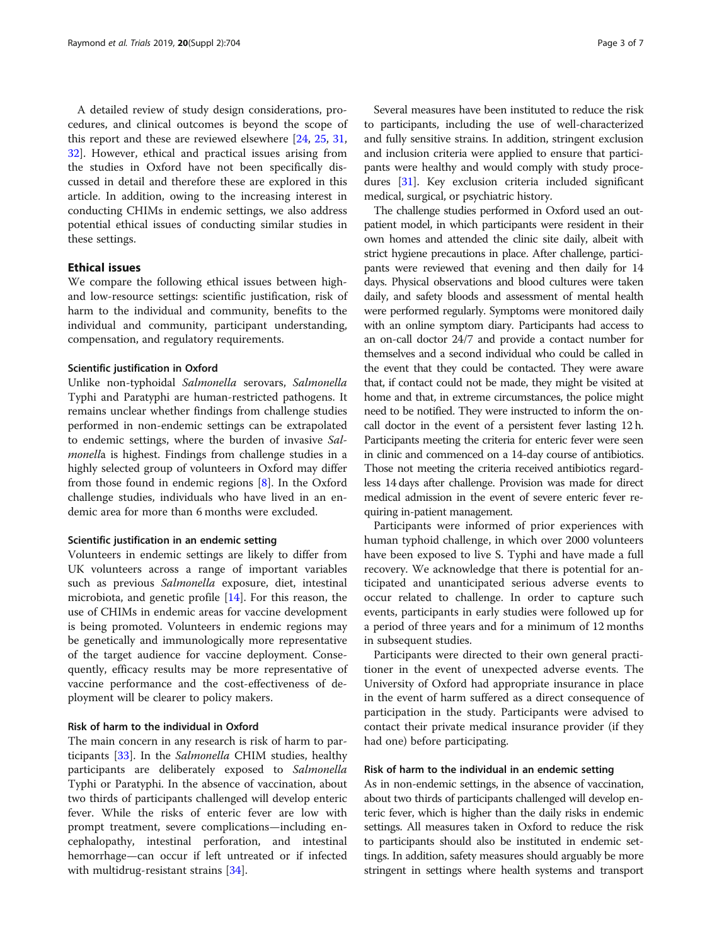A detailed review of study design considerations, procedures, and clinical outcomes is beyond the scope of this report and these are reviewed elsewhere [[24,](#page-6-0) [25](#page-6-0), [31](#page-6-0), [32\]](#page-6-0). However, ethical and practical issues arising from the studies in Oxford have not been specifically discussed in detail and therefore these are explored in this article. In addition, owing to the increasing interest in conducting CHIMs in endemic settings, we also address potential ethical issues of conducting similar studies in these settings.

# Ethical issues

We compare the following ethical issues between highand low-resource settings: scientific justification, risk of harm to the individual and community, benefits to the individual and community, participant understanding, compensation, and regulatory requirements.

#### Scientific justification in Oxford

Unlike non-typhoidal Salmonella serovars, Salmonella Typhi and Paratyphi are human-restricted pathogens. It remains unclear whether findings from challenge studies performed in non-endemic settings can be extrapolated to endemic settings, where the burden of invasive Salmonella is highest. Findings from challenge studies in a highly selected group of volunteers in Oxford may differ from those found in endemic regions [[8\]](#page-5-0). In the Oxford challenge studies, individuals who have lived in an endemic area for more than 6 months were excluded.

#### Scientific justification in an endemic setting

Volunteers in endemic settings are likely to differ from UK volunteers across a range of important variables such as previous Salmonella exposure, diet, intestinal microbiota, and genetic profile [[14\]](#page-6-0). For this reason, the use of CHIMs in endemic areas for vaccine development is being promoted. Volunteers in endemic regions may be genetically and immunologically more representative of the target audience for vaccine deployment. Consequently, efficacy results may be more representative of vaccine performance and the cost-effectiveness of deployment will be clearer to policy makers.

#### Risk of harm to the individual in Oxford

The main concern in any research is risk of harm to participants [\[33](#page-6-0)]. In the Salmonella CHIM studies, healthy participants are deliberately exposed to Salmonella Typhi or Paratyphi. In the absence of vaccination, about two thirds of participants challenged will develop enteric fever. While the risks of enteric fever are low with prompt treatment, severe complications—including encephalopathy, intestinal perforation, and intestinal hemorrhage—can occur if left untreated or if infected with multidrug-resistant strains [\[34\]](#page-6-0).

Several measures have been instituted to reduce the risk to participants, including the use of well-characterized and fully sensitive strains. In addition, stringent exclusion and inclusion criteria were applied to ensure that participants were healthy and would comply with study procedures [\[31\]](#page-6-0). Key exclusion criteria included significant medical, surgical, or psychiatric history.

The challenge studies performed in Oxford used an outpatient model, in which participants were resident in their own homes and attended the clinic site daily, albeit with strict hygiene precautions in place. After challenge, participants were reviewed that evening and then daily for 14 days. Physical observations and blood cultures were taken daily, and safety bloods and assessment of mental health were performed regularly. Symptoms were monitored daily with an online symptom diary. Participants had access to an on-call doctor 24/7 and provide a contact number for themselves and a second individual who could be called in the event that they could be contacted. They were aware that, if contact could not be made, they might be visited at home and that, in extreme circumstances, the police might need to be notified. They were instructed to inform the oncall doctor in the event of a persistent fever lasting 12 h. Participants meeting the criteria for enteric fever were seen in clinic and commenced on a 14-day course of antibiotics. Those not meeting the criteria received antibiotics regardless 14 days after challenge. Provision was made for direct medical admission in the event of severe enteric fever requiring in-patient management.

Participants were informed of prior experiences with human typhoid challenge, in which over 2000 volunteers have been exposed to live S. Typhi and have made a full recovery. We acknowledge that there is potential for anticipated and unanticipated serious adverse events to occur related to challenge. In order to capture such events, participants in early studies were followed up for a period of three years and for a minimum of 12 months in subsequent studies.

Participants were directed to their own general practitioner in the event of unexpected adverse events. The University of Oxford had appropriate insurance in place in the event of harm suffered as a direct consequence of participation in the study. Participants were advised to contact their private medical insurance provider (if they had one) before participating.

#### Risk of harm to the individual in an endemic setting

As in non-endemic settings, in the absence of vaccination, about two thirds of participants challenged will develop enteric fever, which is higher than the daily risks in endemic settings. All measures taken in Oxford to reduce the risk to participants should also be instituted in endemic settings. In addition, safety measures should arguably be more stringent in settings where health systems and transport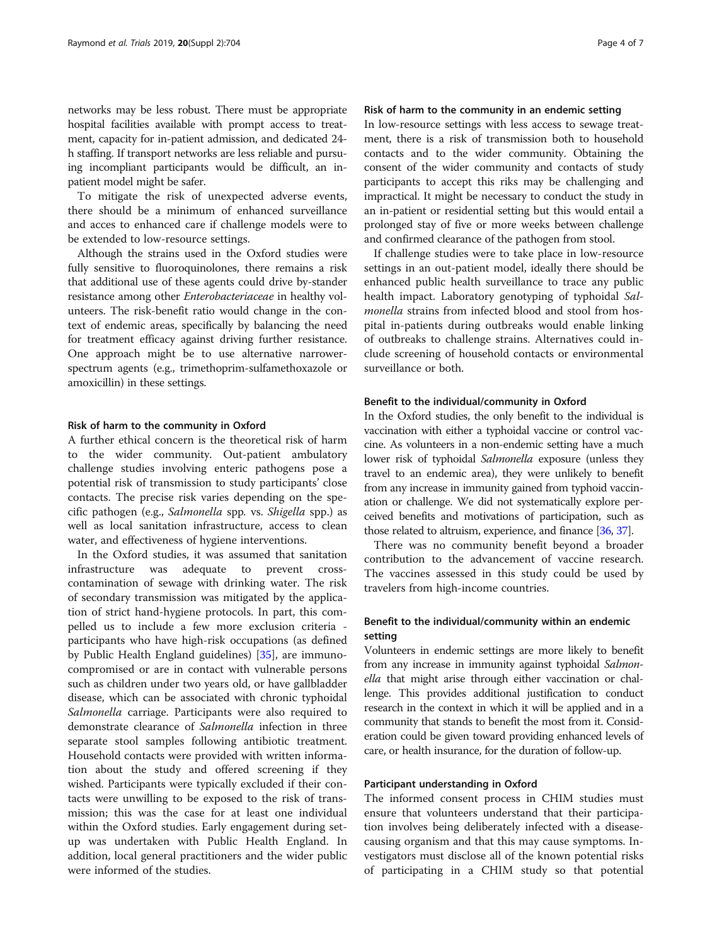networks may be less robust. There must be appropriate hospital facilities available with prompt access to treatment, capacity for in-patient admission, and dedicated 24 h staffing. If transport networks are less reliable and pursuing incompliant participants would be difficult, an inpatient model might be safer.

To mitigate the risk of unexpected adverse events, there should be a minimum of enhanced surveillance and acces to enhanced care if challenge models were to be extended to low-resource settings.

Although the strains used in the Oxford studies were fully sensitive to fluoroquinolones, there remains a risk that additional use of these agents could drive by-stander resistance among other Enterobacteriaceae in healthy volunteers. The risk-benefit ratio would change in the context of endemic areas, specifically by balancing the need for treatment efficacy against driving further resistance. One approach might be to use alternative narrowerspectrum agents (e.g., trimethoprim-sulfamethoxazole or amoxicillin) in these settings.

#### Risk of harm to the community in Oxford

A further ethical concern is the theoretical risk of harm to the wider community. Out-patient ambulatory challenge studies involving enteric pathogens pose a potential risk of transmission to study participants' close contacts. The precise risk varies depending on the specific pathogen (e.g., Salmonella spp. vs. Shigella spp.) as well as local sanitation infrastructure, access to clean water, and effectiveness of hygiene interventions.

In the Oxford studies, it was assumed that sanitation infrastructure was adequate to prevent crosscontamination of sewage with drinking water. The risk of secondary transmission was mitigated by the application of strict hand-hygiene protocols. In part, this compelled us to include a few more exclusion criteria participants who have high-risk occupations (as defined by Public Health England guidelines) [\[35](#page-6-0)], are immunocompromised or are in contact with vulnerable persons such as children under two years old, or have gallbladder disease, which can be associated with chronic typhoidal Salmonella carriage. Participants were also required to demonstrate clearance of Salmonella infection in three separate stool samples following antibiotic treatment. Household contacts were provided with written information about the study and offered screening if they wished. Participants were typically excluded if their contacts were unwilling to be exposed to the risk of transmission; this was the case for at least one individual within the Oxford studies. Early engagement during setup was undertaken with Public Health England. In addition, local general practitioners and the wider public were informed of the studies.

# Risk of harm to the community in an endemic setting

In low-resource settings with less access to sewage treatment, there is a risk of transmission both to household contacts and to the wider community. Obtaining the consent of the wider community and contacts of study participants to accept this riks may be challenging and impractical. It might be necessary to conduct the study in an in-patient or residential setting but this would entail a prolonged stay of five or more weeks between challenge and confirmed clearance of the pathogen from stool.

If challenge studies were to take place in low-resource settings in an out-patient model, ideally there should be enhanced public health surveillance to trace any public health impact. Laboratory genotyping of typhoidal Salmonella strains from infected blood and stool from hospital in-patients during outbreaks would enable linking of outbreaks to challenge strains. Alternatives could include screening of household contacts or environmental surveillance or both.

### Benefit to the individual/community in Oxford

In the Oxford studies, the only benefit to the individual is vaccination with either a typhoidal vaccine or control vaccine. As volunteers in a non-endemic setting have a much lower risk of typhoidal Salmonella exposure (unless they travel to an endemic area), they were unlikely to benefit from any increase in immunity gained from typhoid vaccination or challenge. We did not systematically explore perceived benefits and motivations of participation, such as those related to altruism, experience, and finance [\[36](#page-6-0), [37](#page-6-0)].

There was no community benefit beyond a broader contribution to the advancement of vaccine research. The vaccines assessed in this study could be used by travelers from high-income countries.

# Benefit to the individual/community within an endemic setting

Volunteers in endemic settings are more likely to benefit from any increase in immunity against typhoidal Salmonella that might arise through either vaccination or challenge. This provides additional justification to conduct research in the context in which it will be applied and in a community that stands to benefit the most from it. Consideration could be given toward providing enhanced levels of care, or health insurance, for the duration of follow-up.

#### Participant understanding in Oxford

The informed consent process in CHIM studies must ensure that volunteers understand that their participation involves being deliberately infected with a diseasecausing organism and that this may cause symptoms. Investigators must disclose all of the known potential risks of participating in a CHIM study so that potential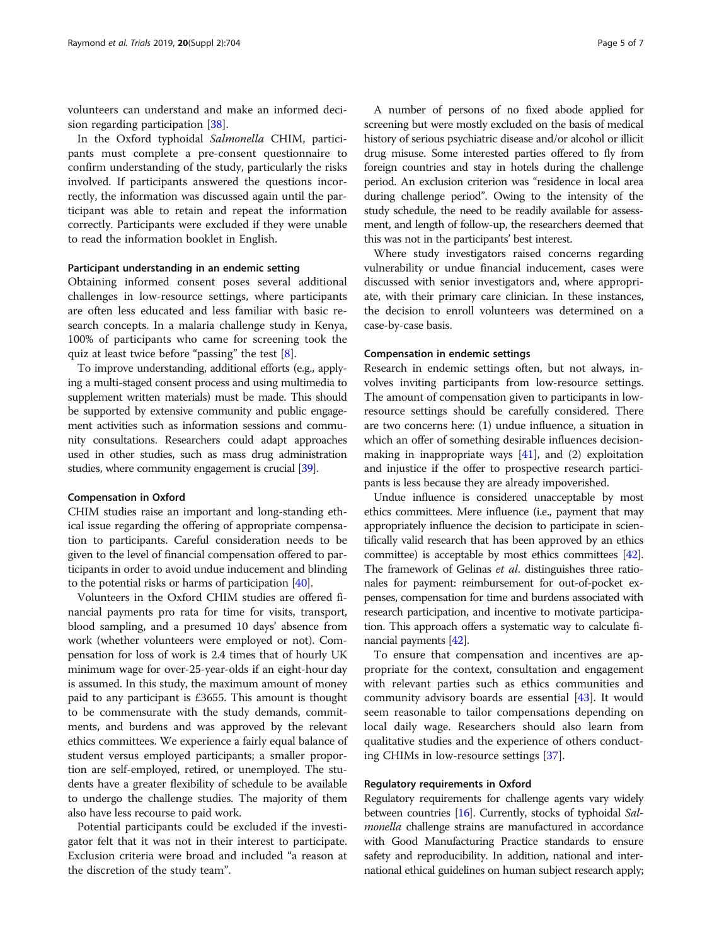volunteers can understand and make an informed decision regarding participation [\[38\]](#page-6-0).

In the Oxford typhoidal Salmonella CHIM, participants must complete a pre-consent questionnaire to confirm understanding of the study, particularly the risks involved. If participants answered the questions incorrectly, the information was discussed again until the participant was able to retain and repeat the information correctly. Participants were excluded if they were unable to read the information booklet in English.

#### Participant understanding in an endemic setting

Obtaining informed consent poses several additional challenges in low-resource settings, where participants are often less educated and less familiar with basic research concepts. In a malaria challenge study in Kenya, 100% of participants who came for screening took the quiz at least twice before "passing" the test [[8\]](#page-5-0).

To improve understanding, additional efforts (e.g., applying a multi-staged consent process and using multimedia to supplement written materials) must be made. This should be supported by extensive community and public engagement activities such as information sessions and community consultations. Researchers could adapt approaches used in other studies, such as mass drug administration studies, where community engagement is crucial [\[39\]](#page-6-0).

#### Compensation in Oxford

CHIM studies raise an important and long-standing ethical issue regarding the offering of appropriate compensation to participants. Careful consideration needs to be given to the level of financial compensation offered to participants in order to avoid undue inducement and blinding to the potential risks or harms of participation [\[40\]](#page-6-0).

Volunteers in the Oxford CHIM studies are offered financial payments pro rata for time for visits, transport, blood sampling, and a presumed 10 days' absence from work (whether volunteers were employed or not). Compensation for loss of work is 2.4 times that of hourly UK minimum wage for over-25-year-olds if an eight-hour day is assumed. In this study, the maximum amount of money paid to any participant is £3655. This amount is thought to be commensurate with the study demands, commitments, and burdens and was approved by the relevant ethics committees. We experience a fairly equal balance of student versus employed participants; a smaller proportion are self-employed, retired, or unemployed. The students have a greater flexibility of schedule to be available to undergo the challenge studies. The majority of them also have less recourse to paid work.

Potential participants could be excluded if the investigator felt that it was not in their interest to participate. Exclusion criteria were broad and included "a reason at the discretion of the study team".

A number of persons of no fixed abode applied for screening but were mostly excluded on the basis of medical history of serious psychiatric disease and/or alcohol or illicit drug misuse. Some interested parties offered to fly from foreign countries and stay in hotels during the challenge period. An exclusion criterion was "residence in local area during challenge period". Owing to the intensity of the study schedule, the need to be readily available for assessment, and length of follow-up, the researchers deemed that this was not in the participants' best interest.

Where study investigators raised concerns regarding vulnerability or undue financial inducement, cases were discussed with senior investigators and, where appropriate, with their primary care clinician. In these instances, the decision to enroll volunteers was determined on a case-by-case basis.

#### Compensation in endemic settings

Research in endemic settings often, but not always, involves inviting participants from low-resource settings. The amount of compensation given to participants in lowresource settings should be carefully considered. There are two concerns here: (1) undue influence, a situation in which an offer of something desirable influences decisionmaking in inappropriate ways  $[41]$  $[41]$  $[41]$ , and  $(2)$  exploitation and injustice if the offer to prospective research participants is less because they are already impoverished.

Undue influence is considered unacceptable by most ethics committees. Mere influence (i.e., payment that may appropriately influence the decision to participate in scientifically valid research that has been approved by an ethics committee) is acceptable by most ethics committees [\[42](#page-6-0)]. The framework of Gelinas et al. distinguishes three rationales for payment: reimbursement for out-of-pocket expenses, compensation for time and burdens associated with research participation, and incentive to motivate participation. This approach offers a systematic way to calculate financial payments [\[42\]](#page-6-0).

To ensure that compensation and incentives are appropriate for the context, consultation and engagement with relevant parties such as ethics communities and community advisory boards are essential [[43](#page-6-0)]. It would seem reasonable to tailor compensations depending on local daily wage. Researchers should also learn from qualitative studies and the experience of others conducting CHIMs in low-resource settings [\[37](#page-6-0)].

#### Regulatory requirements in Oxford

Regulatory requirements for challenge agents vary widely between countries [\[16\]](#page-6-0). Currently, stocks of typhoidal Salmonella challenge strains are manufactured in accordance with Good Manufacturing Practice standards to ensure safety and reproducibility. In addition, national and international ethical guidelines on human subject research apply;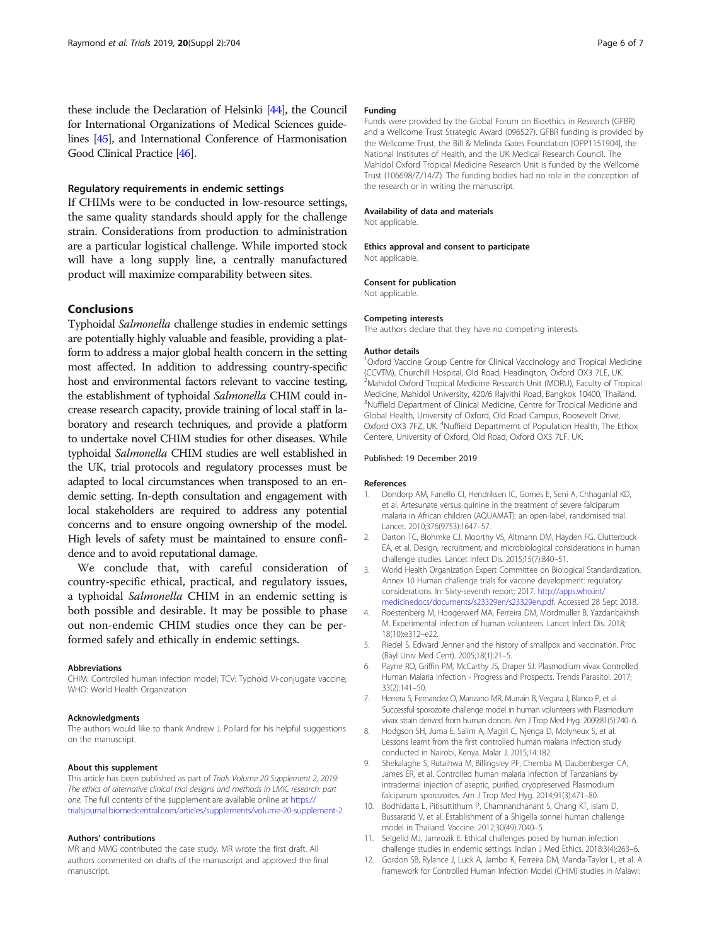<span id="page-5-0"></span>these include the Declaration of Helsinki [\[44\]](#page-6-0), the Council for International Organizations of Medical Sciences guidelines [\[45\]](#page-6-0), and International Conference of Harmonisation Good Clinical Practice [\[46](#page-6-0)].

# Regulatory requirements in endemic settings

If CHIMs were to be conducted in low-resource settings, the same quality standards should apply for the challenge strain. Considerations from production to administration are a particular logistical challenge. While imported stock will have a long supply line, a centrally manufactured product will maximize comparability between sites.

### Conclusions

Typhoidal Salmonella challenge studies in endemic settings are potentially highly valuable and feasible, providing a platform to address a major global health concern in the setting most affected. In addition to addressing country-specific host and environmental factors relevant to vaccine testing, the establishment of typhoidal Salmonella CHIM could increase research capacity, provide training of local staff in laboratory and research techniques, and provide a platform to undertake novel CHIM studies for other diseases. While typhoidal Salmonella CHIM studies are well established in the UK, trial protocols and regulatory processes must be adapted to local circumstances when transposed to an endemic setting. In-depth consultation and engagement with local stakeholders are required to address any potential concerns and to ensure ongoing ownership of the model. High levels of safety must be maintained to ensure confidence and to avoid reputational damage.

We conclude that, with careful consideration of country-specific ethical, practical, and regulatory issues, a typhoidal Salmonella CHIM in an endemic setting is both possible and desirable. It may be possible to phase out non-endemic CHIM studies once they can be performed safely and ethically in endemic settings.

#### Abbreviations

CHIM: Controlled human infection model; TCV: Typhoid Vi-conjugate vaccine; WHO: World Health Organization

#### Acknowledgments

The authors would like to thank Andrew J. Pollard for his helpful suggestions on the manuscript.

#### About this supplement

This article has been published as part of Trials Volume 20 Supplement 2, 2019: The ethics of alternative clinical trial designs and methods in LMIC research: part one. The full contents of the supplement are available online at [https://](https://trialsjournal.biomedcentral.com/articles/supplements/volume-20-supplement-2) [trialsjournal.biomedcentral.com/articles/supplements/volume-20-supplement-2](https://trialsjournal.biomedcentral.com/articles/supplements/volume-20-supplement-2).

#### Authors' contributions

MR and MMG contributed the case study. MR wrote the first draft. All authors commented on drafts of the manuscript and approved the final manuscript.

#### Funding

Funds were provided by the Global Forum on Bioethics in Research (GFBR) and a Wellcome Trust Strategic Award (096527). GFBR funding is provided by the Wellcome Trust, the Bill & Melinda Gates Foundation [OPP1151904], the National Institutes of Health, and the UK Medical Research Council. The Mahidol Oxford Tropical Medicine Research Unit is funded by the Wellcome Trust (106698/Z/14/Z). The funding bodies had no role in the conception of the research or in writing the manuscript.

#### Availability of data and materials

Not applicable.

#### Ethics approval and consent to participate

Not applicable

#### Consent for publication

Not applicable.

#### Competing interests

The authors declare that they have no competing interests.

#### Author details

<sup>1</sup>Oxford Vaccine Group Centre for Clinical Vaccinology and Tropical Medicine (CCVTM), Churchill Hospital, Old Road, Headington, Oxford OX3 7LE, UK. <sup>2</sup>Mahidol Oxford Tropical Medicine Research Unit (MORU), Faculty of Tropical Medicine, Mahidol University, 420/6 Rajvithi Road, Bangkok 10400, Thailand. <sup>3</sup>Nuffield Department of Clinical Medicine, Centre for Tropical Medicine and Global Health, University of Oxford, Old Road Campus, Roosevelt Drive, Oxford OX3 7FZ, UK. <sup>4</sup>Nuffield Departmemt of Population Health, The Ethox Centere, University of Oxford, Old Road, Oxford OX3 7LF, UK.

#### Published: 19 December 2019

#### References

- 1. Dondorp AM, Fanello CI, Hendriksen IC, Gomes E, Seni A, Chhaganlal KD, et al. Artesunate versus quinine in the treatment of severe falciparum malaria in African children (AQUAMAT): an open-label, randomised trial. Lancet. 2010;376(9753):1647–57.
- 2. Darton TC, Blohmke CJ, Moorthy VS, Altmann DM, Hayden FG, Clutterbuck EA, et al. Design, recruitment, and microbiological considerations in human challenge studies. Lancet Infect Dis. 2015;15(7):840–51.
- 3. World Health Organization Expert Committee on Biological Standardization. Annex 10 Human challenge trials for vaccine development: regulatory considerations. In: Sixty-seventh report; 2017. [http://apps.who.int/](http://apps.who.int/medicinedocs/documents/s23329en/s23329en.pdf) [medicinedocs/documents/s23329en/s23329en.pdf](http://apps.who.int/medicinedocs/documents/s23329en/s23329en.pdf). Accessed 28 Sept 2018.
- 4. Roestenberg M, Hoogerwerf MA, Ferreira DM, Mordmuller B, Yazdanbakhsh M. Experimental infection of human volunteers. Lancet Infect Dis. 2018; 18(10):e312–e22.
- 5. Riedel S. Edward Jenner and the history of smallpox and vaccination. Proc (Bayl Univ Med Cent). 2005;18(1):21–5.
- 6. Payne RO, Griffin PM, McCarthy JS, Draper SJ. Plasmodium vivax Controlled Human Malaria Infection - Progress and Prospects. Trends Parasitol. 2017; 33(2):141–50.
- 7. Herrera S, Fernandez O, Manzano MR, Murrain B, Vergara J, Blanco P, et al. Successful sporozoite challenge model in human volunteers with Plasmodium vivax strain derived from human donors. Am J Trop Med Hyg. 2009;81(5):740–6.
- 8. Hodgson SH, Juma E, Salim A, Magiri C, Njenga D, Molyneux S, et al. Lessons learnt from the first controlled human malaria infection study conducted in Nairobi, Kenya. Malar J. 2015;14:182.
- 9. Shekalaghe S, Rutaihwa M, Billingsley PF, Chemba M, Daubenberger CA, James ER, et al. Controlled human malaria infection of Tanzanians by intradermal injection of aseptic, purified, cryopreserved Plasmodium falciparum sporozoites. Am J Trop Med Hyg. 2014;91(3):471–80.
- 10. Bodhidatta L, Pitisuttithum P, Chamnanchanant S, Chang KT, Islam D, Bussaratid V, et al. Establishment of a Shigella sonnei human challenge model in Thailand. Vaccine. 2012;30(49):7040–5.
- 11. Selgelid MJ, Jamrozik E. Ethical challenges posed by human infection challenge studies in endemic settings. Indian J Med Ethics. 2018;3(4):263–6.
- 12. Gordon SB, Rylance J, Luck A, Jambo K, Ferreira DM, Manda-Taylor L, et al. A framework for Controlled Human Infection Model (CHIM) studies in Malawi: